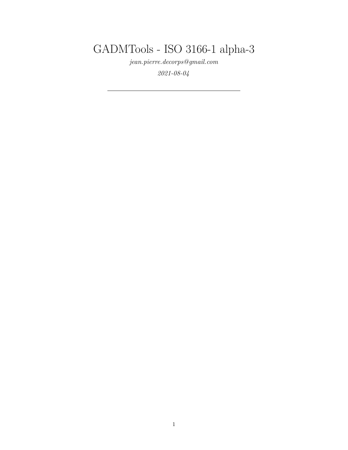GADMTools - ISO 3166-1 alpha-3

*[jean.pierre.decorps@gmail.com](mailto:jean.pierre.decorps@gmail.com)*

*2021-08-04*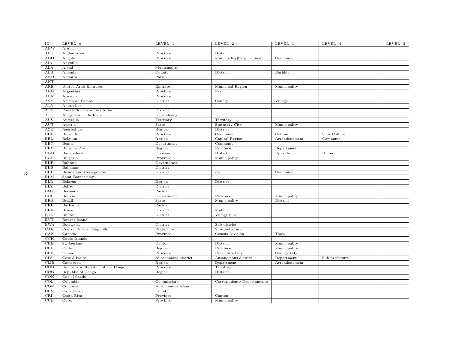| $\overline{\text{ID}}$  | LEVEL 0                          | LEVEL_1             | LEVEL 2                    | LEVEL_3        | LEVEL_4        | LEVEL 5 |
|-------------------------|----------------------------------|---------------------|----------------------------|----------------|----------------|---------|
| <b>ABW</b>              | Aruba                            |                     |                            |                |                |         |
| $\rm{AFG}$              | Afghanistan                      | Province            | District                   |                |                |         |
| AGO                     | Angola                           | Province            | Municpality City Council   | Commune        |                |         |
| AIA                     | Anguilla                         |                     |                            |                |                |         |
| ALA                     | Åland                            | Municipality        |                            |                |                |         |
| ALB                     | Albania                          | County              | District                   | Bashkia        |                |         |
| AND                     | Andorra                          | Parish              |                            |                |                |         |
| $\mathbf{ANT}$          |                                  |                     |                            |                |                |         |
| $\operatorname{ARE}$    | United Arab Emirates             | Emirate             | Municipal Region           | Municipality   |                |         |
| $\overline{\text{ARG}}$ | Argentina                        | Province            | Part                       |                |                |         |
| ARM                     | Armenia                          | Province            |                            |                |                |         |
| $\mathbf{ASM}$          | American Samoa                   | District            | County                     | Village        |                |         |
| <b>ATA</b>              | Antarctica                       |                     |                            |                |                |         |
| ${\rm ATF}$             | French Southern Territories      | District            |                            |                |                |         |
| $\operatorname{ATG}$    | Antigua and Barbuda              | Dependency          |                            |                |                |         |
| $\rm{AUS}$              | Australia                        | Territory           | Territory                  |                |                |         |
| <b>AUT</b>              | Austria                          | State               | Statutory City             | Municipality   |                |         |
| AZE                     | Azerbaijan                       | Region              | District                   |                |                |         |
| BDI                     | Burundi                          | Province            | Commune                    | Colline        | Sous Colline   |         |
| BEL                     | Belgium                          | Region              | Capital Region             | Arrondissement | Commune        |         |
| <b>BEN</b>              | Benin                            | Department          | Commonune                  |                |                |         |
| <b>BFA</b>              | Burkina Faso                     | Region              | Province                   | Department     |                |         |
| BGD                     | Bangladesh                       | Division            | Distict                    | Upazilla       | Union          |         |
| BGR                     | Bulgaria                         | Province            | Municipality               |                |                |         |
| BHR                     | Bahrain                          | Governorate         |                            |                |                |         |
| <b>BHS</b>              | Bahamas                          | District            |                            |                |                |         |
| $\overline{BH}$         | Bosnia and Herzegovina           | District            | $-?-$                      | Commune        |                |         |
| BLM                     | Saint-Barthélemy                 |                     |                            |                |                |         |
| <b>BLR</b>              | Belarus                          | Region              | District                   |                |                |         |
| BLZ                     | Belize                           | District            |                            |                |                |         |
| <b>BMU</b>              | Bermuda                          | Parish              |                            |                |                |         |
| <b>BOL</b>              | Bolivia                          | Department          | Province                   | Municipality   |                |         |
| <b>BRA</b>              | Brazil                           | State               | Municipality               | District       |                |         |
| $_{\rm BRB}$            | Barbados                         | Parish              |                            |                |                |         |
| <b>BRN</b>              | Brunei                           | District            | Mukim                      |                |                |         |
| BTN                     | Bhutan                           | District            | Village block              |                |                |         |
| <b>BVT</b>              | Bouvet Island                    |                     |                            |                |                |         |
| <b>BWA</b>              | Botswana                         | District            | Sub-district               |                |                |         |
| CAF                     | Central African Republic         | Prefecture          | Sub-prefecture             |                |                |         |
| CAN                     | Canada                           | Province            | Census Division            | Town           |                |         |
| CCK                     | Cocos Islands                    |                     |                            |                |                |         |
| $_{\rm CHE}$            | Switzerland                      | Canton              | District                   | Municipality   |                |         |
| CHL                     | Chile                            | Region              | Province                   | Municipality   |                |         |
| CHN                     | China                            | Province            | Prefecture City            | County City    |                |         |
| CIV                     | Côte d'Ivoire                    | Autonomous district | Autonomous district        | Department     | Sub-prefecture |         |
| CMR                     | Cameroon                         | Region              | Department                 | Arrondissement |                |         |
| $\overline{COD}$        | Democratic Republic of the Congo | Province            | Territory                  |                |                |         |
| COG                     | Republic of Congo                | Region              | District                   |                |                |         |
| COK                     | Cook Islands                     |                     |                            |                |                |         |
| COL                     | Colombia                         | Commissiary         | Corregimiento Departamento |                |                |         |
| $\overline{\text{COM}}$ | Comoros                          | Autonomous Island   |                            |                |                |         |
| <b>CPV</b>              | Cape Verde                       | County              |                            |                |                |         |
| CRI                     | Costa Rica                       | Province            | $\operatorname{Canton}$    |                |                |         |
| CUB                     | Cuba                             | Province            | Municipality               |                |                |         |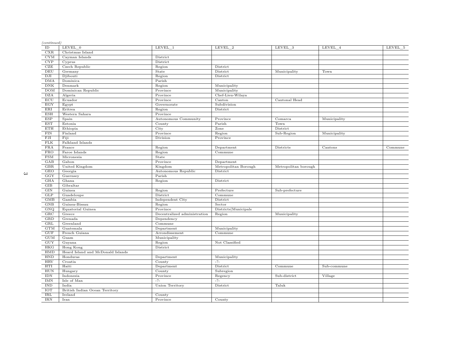| (continued)<br>ID | LEVEL_0                           | LEVEL 1                      | $LEVEL_2$            | LEVEL_3              | LEVEL_4      | LEVEL_5 |
|-------------------|-----------------------------------|------------------------------|----------------------|----------------------|--------------|---------|
| CXR               | Christmas Island                  |                              |                      |                      |              |         |
| $_{\rm CYM}$      | Cayman Islands                    | District                     |                      |                      |              |         |
| CYP               | Cyprus                            | District                     |                      |                      |              |         |
| CZE               | Czech Republic                    | Region                       | District             |                      |              |         |
| DEU               | Germany                           | State                        | District             | Municipality         | Town         |         |
| DJI               | Djibouti                          | Region                       | District             |                      |              |         |
| <b>DMA</b>        | Dominica                          | Parish                       |                      |                      |              |         |
| <b>DNK</b>        | Denmark                           | Region                       | Municipality         |                      |              |         |
| <b>DOM</b>        | Dominican Republic                | Province                     | Municipality         |                      |              |         |
| <b>DZA</b>        | Algeria                           | Province                     | Chef-Lieu-Wilaya     |                      |              |         |
| ECU               |                                   | Province                     | Canton               | Cantonal Head        |              |         |
| EGY               | Ecuador                           | Governorate                  | Subdivision          |                      |              |         |
| ERI               | Egypt                             |                              |                      |                      |              |         |
|                   | Eritrea                           | Region                       | District             |                      |              |         |
| <b>ESH</b>        | Western Sahara                    | Province                     |                      |                      |              |         |
| <b>ESP</b>        | Spain                             | Autonomous Community         | Province             | Comarca              | Municipality |         |
| <b>EST</b>        | Estonia                           | County                       | Parish               | Town                 |              |         |
| <b>ETH</b>        | Ethiopia                          | City                         | Zone                 | District             |              |         |
| ${\rm FIN}$       | Finland                           | Province                     | Region               | Sub-Region           | Municipality |         |
| FJI               | Fiji                              | Division                     | Province             |                      |              |         |
| ${\rm FLK}$       | Falkland Islands                  |                              |                      |                      |              |         |
| FRA               | France                            | Region                       | Department           | Districts            | Cantons      | Commune |
| <b>FRO</b>        | Faroe Islands                     | Region                       | Commune              |                      |              |         |
| FSM               | Micronesia                        | State                        |                      |                      |              |         |
| GAB               | Gabon                             | Province                     | Department           |                      |              |         |
| <b>GBR</b>        | United Kingdom                    | Kingdom                      | Metropolitan Borough | Metropolitan borough |              |         |
| GEO               | Georgia                           | Autonomous Republic          | District             |                      |              |         |
| GGY               | Guernsey                          | Parish                       |                      |                      |              |         |
| GHA               | Ghana                             | Region                       | District             |                      |              |         |
| <b>GIB</b>        | Gibraltar                         |                              |                      |                      |              |         |
| $\rm GIN$         | Guinea                            | Region                       | Prefecture           | Sub-prefecture       |              |         |
| GLP               | Guadeloupe                        | District                     | Commune              |                      |              |         |
| GMB               | Gambia                            | Independent City             | District             |                      |              |         |
| GNB               | Guinea-Bissau                     | Region                       | Sector               |                      |              |         |
| GNQ               | Equatorial Guinea                 | Province                     | Districts Municipals |                      |              |         |
| GRC               | Greece                            | Decentralized administration | Region               | Municipality         |              |         |
| GRD               | Grenada                           | Dependency                   |                      |                      |              |         |
| GRL               | Greenland                         | Commune                      |                      |                      |              |         |
| GTM               | Guatemala                         | Department                   | Municipality         |                      |              |         |
| <b>GUF</b>        | French Guiana                     | Arrondissement               | Commune              |                      |              |         |
| GUM               | Guam                              | Municipality                 |                      |                      |              |         |
| GUY               | Guyana                            | Region                       | Not Classified       |                      |              |         |
| <b>HKG</b>        | Hong Kong                         | District                     |                      |                      |              |         |
| HMD               | Heard Island and McDonald Islands |                              |                      |                      |              |         |
| <b>HND</b>        | Honduras                          | Department                   | Municipality         |                      |              |         |
| <b>HRV</b>        | Croatia                           | County                       | $-7-$                |                      |              |         |
| $\rm HTI$         | Haiti                             | Department                   | District             | Commune              | Sub-commune  |         |
| HUN               | Hungary                           | County                       | Subregion            |                      |              |         |
| <b>IDN</b>        | Indonesia                         | Province                     | Regency              | Sub-district         | Village      |         |
| <b>IMN</b>        | Isle of Man                       | $-2-$                        | $-? -$               |                      |              |         |
| IND               | India                             | Union Territory              | District             | Taluk                |              |         |
| <b>IOT</b>        | British Indian Ocean Territory    |                              |                      |                      |              |         |
| $\rm IRL$         | Ireland                           | County                       |                      |                      |              |         |
| <b>IRN</b>        | Iran                              | Province                     | County               |                      |              |         |
|                   |                                   |                              |                      |                      |              |         |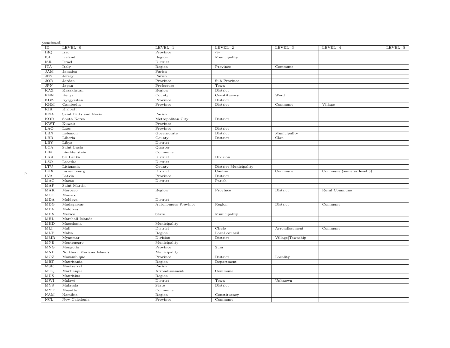| (continued)             |                          |                     |                       |                  |                           |           |
|-------------------------|--------------------------|---------------------|-----------------------|------------------|---------------------------|-----------|
| ID                      | LEVEL_0                  | LEVEL_1             | $LEVEL_2$             | LEVEL_3          | LEVEL_4                   | $LEVEL_5$ |
| IRQ                     | Iraq                     | Province            | $-?-$                 |                  |                           |           |
| ISL                     | Iceland                  | Region              | Municipality          |                  |                           |           |
| <b>ISR</b>              | Israel                   | District            |                       |                  |                           |           |
| <b>ITA</b>              | Italy                    | Region              | Province              | Commune          |                           |           |
| <b>JAM</b>              | Jamaica                  | Parish              |                       |                  |                           |           |
| <b>JEY</b>              | Jersey                   | Parish              |                       |                  |                           |           |
| JOR                     | Jordan                   | Province            | Sub-Province          |                  |                           |           |
| <b>JPN</b>              | Japan                    | Prefecture          | Town                  |                  |                           |           |
| <b>KAZ</b>              | Kazakhstan               | Region              | District              |                  |                           |           |
| <b>KEN</b>              | Kenya                    | County              | Constituency          | Ward             |                           |           |
| KGZ                     | Kyrgyzstan               | Province            | District              |                  |                           |           |
| <b>KHM</b>              | Cambodia                 | Province            | District              | Commune          | Village                   |           |
| KIR                     | Kiribati                 |                     |                       |                  |                           |           |
| <b>KNA</b>              | Saint Kitts and Nevis    | Parish              |                       |                  |                           |           |
| KOR                     | South Korea              | Metropolitan City   | District              |                  |                           |           |
| $\overline{\text{KWT}}$ | Kuwait                   | Province            |                       |                  |                           |           |
| LAO                     | Laos                     | Province            | District              |                  |                           |           |
| LBN                     | Lebanon                  | Governorate         | District              | Municipality     |                           |           |
| <b>LBR</b>              | Liberia                  | County              | District              | Clan             |                           |           |
| LBY                     | Libya                    | District            |                       |                  |                           |           |
| LCA                     | Saint Lucia              | Quarter             |                       |                  |                           |           |
| <b>LIE</b>              | Liechtenstein            | Commune             |                       |                  |                           |           |
| <b>LKA</b>              | Sri Lanka                | District            | Division              |                  |                           |           |
| LSO                     | Lesotho                  | District            |                       |                  |                           |           |
| LTU                     | Lithuania                | County              | District Municipality |                  |                           |           |
| <b>LUX</b>              | Luxembourg               | District            | Canton                | Commune          | Commune (same as level 3) |           |
| <b>LVA</b>              | Latvia                   | Province            | District              |                  |                           |           |
| MAC                     | Macao                    | District            | Parish                |                  |                           |           |
| MAF                     | Saint-Martin             |                     |                       |                  |                           |           |
| MAR                     | Morocco                  | Region              | Province              | District         | Rural Commune             |           |
| MCO                     | Monaco                   |                     |                       |                  |                           |           |
| <b>MDA</b>              | Moldova                  | District            |                       |                  |                           |           |
| MDG                     | Madagascar               | Autonomous Province | Region                | District         | Commune                   |           |
| MDV                     | Maldives                 |                     |                       |                  |                           |           |
| MEX                     | Mexico                   | State               | Municipality          |                  |                           |           |
| MHL                     | Marshall Islands         |                     |                       |                  |                           |           |
| MKD                     | Macedonia                | Municipality        |                       |                  |                           |           |
| MLI                     | Mali                     | District            | Circle                | Arrondissement   | Commune                   |           |
| MLT                     | Malta                    | Region              | Local council         |                  |                           |           |
| MMR                     | Myanmar                  | Division            | District              | Village Township |                           |           |
| MNE                     | Montenegro               | Municipality        |                       |                  |                           |           |
| MNG                     | Mongolia                 | Province            | Sum                   |                  |                           |           |
| MNP                     | Northern Mariana Islands | Municipality        |                       |                  |                           |           |
| MOZ                     | Mozambique               | Province            | District              | Locality         |                           |           |
| MRT                     | Mauritania               | Region              | Department            |                  |                           |           |
| MSR                     | Montserrat               | Parish              |                       |                  |                           |           |
| MTQ                     | Martinique               | Arrondissement      | Commune               |                  |                           |           |
| <b>MUS</b>              | Mauritius                | Region              |                       |                  |                           |           |
| $M\overline{W}$         | Malawi                   | District            | Town                  | Unknown          |                           |           |
| <b>MYS</b>              | Malaysia                 | State               | District              |                  |                           |           |
| <b>MYT</b>              | Mayotte                  | Commune             |                       |                  |                           |           |
| NAM                     | Namibia                  | Region              | Constituency          |                  |                           |           |
| $\rm NCL$               | New Caledonia            | Province            | Commune               |                  |                           |           |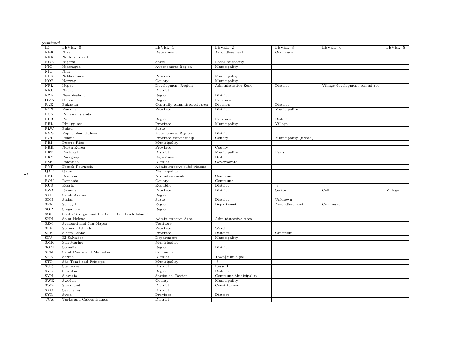| (continued)<br>$\rm ID$   | LEVEL 0                                      | LEVEL 1                     | LEVEL 2              | LEVEL_3              | LEVEL_4                       | LEVEL_5 |
|---------------------------|----------------------------------------------|-----------------------------|----------------------|----------------------|-------------------------------|---------|
| $_{\rm NER}$              | Niger                                        | Department                  | Arrondissement       | Commune              |                               |         |
| NFK                       | Norfolk Island                               |                             |                      |                      |                               |         |
| NGA                       | Nigeria                                      | State                       | Local Authority      |                      |                               |         |
| NIC                       | Nicaragua                                    | Autonomous Region           | Municipality         |                      |                               |         |
| <b>NIU</b>                | Niue                                         |                             |                      |                      |                               |         |
| NLD                       | Netherlands                                  | Province                    | Municipality         |                      |                               |         |
| <b>NOR</b>                | Norway                                       | County                      | Municipality         |                      |                               |         |
| NPL                       | Nepal                                        | Development Region          | Administrative Zone  | District             | Village development committee |         |
| NRU                       | Nauru                                        | District                    |                      |                      |                               |         |
| ${\rm NZL}$               | New Zealand                                  |                             | District             |                      |                               |         |
| <b>OMN</b>                | Oman                                         | Region                      |                      |                      |                               |         |
| PAK                       |                                              | Region                      | Province             |                      |                               |         |
|                           | Pakistan                                     | Centrally Administered Area | Division             | District             |                               |         |
| PAN                       | Panama                                       | Province                    | District             | Municipality         |                               |         |
| PCN                       | Pitcairn Islands                             |                             |                      |                      |                               |         |
| PER                       | Peru                                         | Region                      | Province             | District             |                               |         |
| PHL                       | Philippines                                  | Province                    | Municipality         | Village              |                               |         |
| <b>PLW</b>                | Palau                                        | State                       |                      |                      |                               |         |
| PNG                       | Papua New Guinea                             | Autonomous Region           | District             |                      |                               |         |
| POL                       | Poland                                       | Province Voivodeship        | County               | Municipality (urban) |                               |         |
| PRI                       | Puerto Rico                                  | Municipality                |                      |                      |                               |         |
| PRK                       | North Korea                                  | Province                    | County               |                      |                               |         |
| $\overline{\mathrm{PRT}}$ | Portugal                                     | District                    | Municipality         | Parish               |                               |         |
| PRY                       | Paraguay                                     | Department                  | District             |                      |                               |         |
| $_{\rm PSE}$              | Palestina                                    | District                    | Governorate          |                      |                               |         |
| PYF                       | French Polynesia                             | Administrative subdivisions |                      |                      |                               |         |
| QAT                       | Qatar                                        | Municipality                |                      |                      |                               |         |
| REU                       | Reunion                                      | Arrondissement              | Commune              |                      |                               |         |
| ROU                       | Romania                                      | County                      | Commune              |                      |                               |         |
| <b>RUS</b>                | Russia                                       | Republic                    | District             | $-? -$               |                               |         |
| <b>RWA</b>                | Rwanda                                       | Province                    | District             | Sector               | Cell                          | Village |
| SAU                       | Saudi Arabia                                 | Region                      |                      |                      |                               |         |
| SDN                       | Sudan                                        | State                       | District             | Unknown              |                               |         |
| <b>SEN</b>                | Senegal                                      | Region                      | Department           | Arrondissement       | Commune                       |         |
| SGP                       | Singapore                                    | Region                      |                      |                      |                               |         |
| SGS                       | South Georgia and the South Sandwich Islands |                             |                      |                      |                               |         |
| <b>SHN</b>                | Saint Helena                                 | Administrative Area         | Administrative Area  |                      |                               |         |
| SIM                       | Svalbard and Jan Mayen                       | Territory                   |                      |                      |                               |         |
| SLB                       | Solomon Islands                              | Province                    | Ward                 |                      |                               |         |
| ${\rm SLE}$               | Sierra Leone                                 | Province                    | District             | Chiefdom             |                               |         |
| <b>SLV</b>                | El Salvador                                  | Department                  | Municipality         |                      |                               |         |
| SMR                       | San Marino                                   | Municipality                |                      |                      |                               |         |
| SOM                       | Somalia                                      | Region                      | District             |                      |                               |         |
| <b>SPM</b>                | Saint Pierre and Miquelon                    | Commune                     |                      |                      |                               |         |
| <b>SRB</b>                | Serbia                                       | District                    | Town   Municipal     |                      |                               |         |
| STP                       | São Tomé and Príncipe                        | Municipality                | $-7-$                |                      |                               |         |
| <b>SUR</b>                | Suriname                                     | District                    | Ressort              |                      |                               |         |
| <b>SVK</b>                | Slovakia                                     | Region                      | District             |                      |                               |         |
| <b>SVN</b>                | Slovenia                                     | <b>Statistical Region</b>   | Commune Municipality |                      |                               |         |
| ${\rm SWE}$               | Sweden                                       | County                      | Municipality         |                      |                               |         |
| SWZ                       | Swaziland                                    | District                    | Constituency         |                      |                               |         |
| $\overline{\text{SYC}}$   | Seychelles                                   | District                    |                      |                      |                               |         |
| <b>SYR</b>                | Syria                                        | Province                    | District             |                      |                               |         |
| <b>TCA</b>                | Turks and Caicos Islands                     | District                    |                      |                      |                               |         |
|                           |                                              |                             |                      |                      |                               |         |